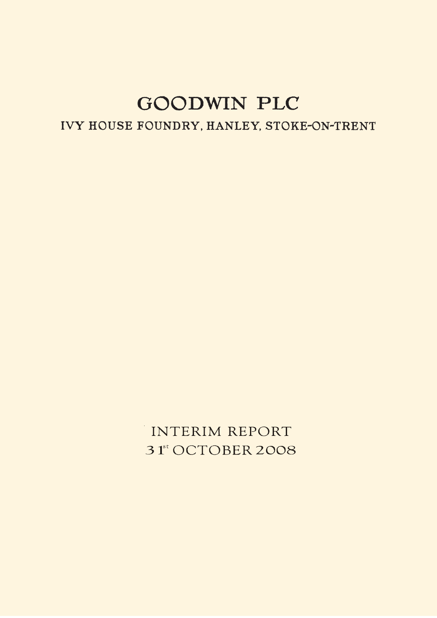# IVY HOUSE FOUNDRY, HANLEY, STOKE-ON-TRENT

INTERIM REPORT 31<sup>st</sup> OCTOBER 2008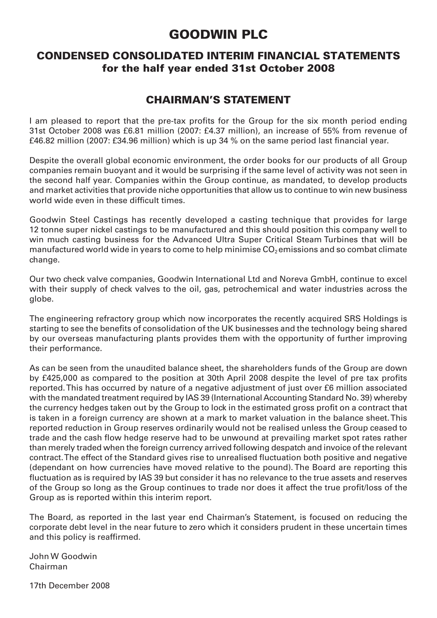### CONDENSED CONSOLIDATED INTERIM FINANCIAL STATEMENTS for the half year ended 31st October 2008

### CHAIRMAN'S STATEMENT

I am pleased to report that the pre-tax profits for the Group for the six month period ending 31st October 2008 was £6.81 million (2007: £4.37 million), an increase of 55% from revenue of £46.82 million (2007: £34.96 million) which is up 34 % on the same period last financial year.

Despite the overall global economic environment, the order books for our products of all Group companies remain buoyant and it would be surprising if the same level of activity was not seen in the second half year. Companies within the Group continue, as mandated, to develop products and market activities that provide niche opportunities that allow us to continue to win new business world wide even in these difficult times.

Goodwin Steel Castings has recently developed a casting technique that provides for large 12 tonne super nickel castings to be manufactured and this should position this company well to win much casting business for the Advanced Ultra Super Critical Steam Turbines that will be manufactured world wide in years to come to help minimise  $CO<sub>2</sub>$  emissions and so combat climate change.

Our two check valve companies, Goodwin International Ltd and Noreva GmbH, continue to excel with their supply of check valves to the oil, gas, petrochemical and water industries across the globe.

The engineering refractory group which now incorporates the recently acquired SRS Holdings is starting to see the benefits of consolidation of the UK businesses and the technology being shared by our overseas manufacturing plants provides them with the opportunity of further improving their performance.

As can be seen from the unaudited balance sheet, the shareholders funds of the Group are down by £425,000 as compared to the position at 30th April 2008 despite the level of pre tax profits reported. This has occurred by nature of a negative adjustment of just over £6 million associated with the mandated treatment required by IAS 39 (International Accounting Standard No. 39) whereby the currency hedges taken out by the Group to lock in the estimated gross profit on a contract that is taken in a foreign currency are shown at a mark to market valuation in the balance sheet. This reported reduction in Group reserves ordinarily would not be realised unless the Group ceased to trade and the cash flow hedge reserve had to be unwound at prevailing market spot rates rather than merely traded when the foreign currency arrived following despatch and invoice of the relevant contract. The effect of the Standard gives rise to unrealised fluctuation both positive and negative (dependant on how currencies have moved relative to the pound). The Board are reporting this fluctuation as is required by IAS 39 but consider it has no relevance to the true assets and reserves of the Group so long as the Group continues to trade nor does it affect the true profit/loss of the Group as is reported within this interim report.

The Board, as reported in the last year end Chairman's Statement, is focused on reducing the corporate debt level in the near future to zero which it considers prudent in these uncertain times and this policy is reaffirmed.

John W Goodwin Chairman

17th December 2008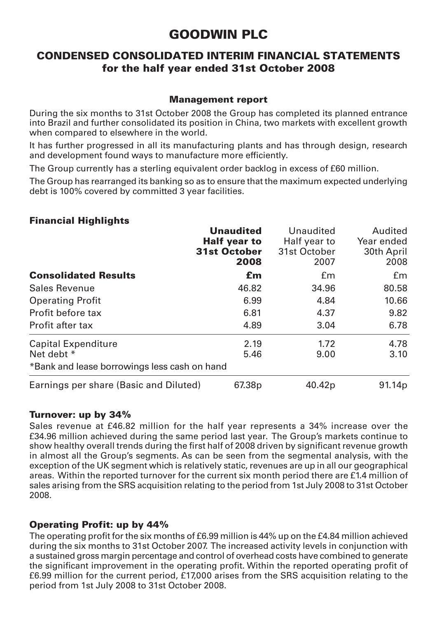### CONDENSED CONSOLIDATED INTERIM FINANCIAL STATEMENTS for the half year ended 31st October 2008

### Management report

During the six months to 31st October 2008 the Group has completed its planned entrance into Brazil and further consolidated its position in China, two markets with excellent growth when compared to elsewhere in the world.

It has further progressed in all its manufacturing plants and has through design, research and development found ways to manufacture more efficiently.

The Group currently has a sterling equivalent order backlog in excess of £60 million.

The Group has rearranged its banking so as to ensure that the maximum expected underlying debt is 100% covered by committed 3 year facilities.

### Financial Highlights

|                                              | <b>Unaudited</b>    | Unaudited          | Audited            |
|----------------------------------------------|---------------------|--------------------|--------------------|
|                                              | <b>Half year to</b> | Half year to       | Year ended         |
|                                              | <b>31st October</b> | 31st October       | 30th April         |
|                                              | 2008                | 2007               | 2008               |
| <b>Consolidated Results</b>                  | £m                  | £m                 | £m                 |
| Sales Revenue                                | 46.82               | 34.96              | 80.58              |
| <b>Operating Profit</b>                      | 6.99                | 4.84               | 10.66              |
| Profit before tax                            | 6.81                | 4.37               | 9.82               |
| Profit after tax                             | 4.89                | 3.04               | 6.78               |
| Capital Expenditure                          | 2.19                | 1.72               | 4.78               |
| Net debt *                                   | 5.46                | 9.00               | 3.10               |
| *Bank and lease borrowings less cash on hand |                     |                    |                    |
| Earnings per share (Basic and Diluted)       | 67.38 <sub>p</sub>  | 40.42 <sub>p</sub> | 91.14 <sub>p</sub> |

### Turnover: up by 34%

Sales revenue at £46.82 million for the half year represents a 34% increase over the £34.96 million achieved during the same period last year. The Group's markets continue to show healthy overall trends during the first half of 2008 driven by significant revenue growth in almost all the Group's segments. As can be seen from the segmental analysis, with the exception of the UK segment which is relatively static, revenues are up in all our geographical areas. Within the reported turnover for the current six month period there are £1.4 million of sales arising from the SRS acquisition relating to the period from 1st July 2008 to 31st October 2008.

### Operating Profit: up by 44%

The operating profit for the six months of £6.99 million is 44% up on the £4.84 million achieved during the six months to 31st October 2007. The increased activity levels in conjunction with a sustained gross margin percentage and control of overhead costs have combined to generate the significant improvement in the operating profit. Within the reported operating profit of £6.99 million for the current period, £17,000 arises from the SRS acquisition relating to the period from 1st July 2008 to 31st October 2008.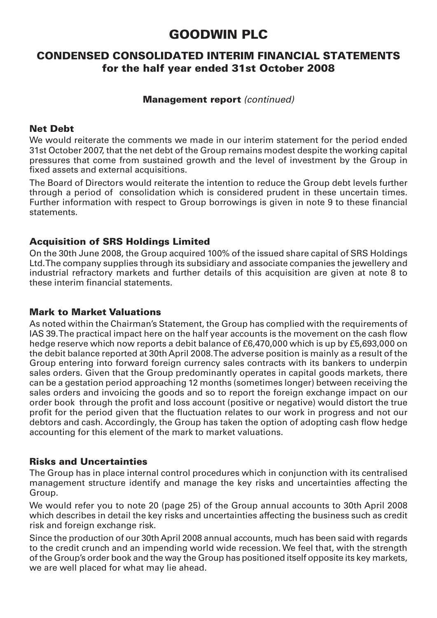### CONDENSED CONSOLIDATED INTERIM FINANCIAL STATEMENTS for the half year ended 31st October 2008

### Management report (continued)

### Net Debt

We would reiterate the comments we made in our interim statement for the period ended 31st October 2007, that the net debt of the Group remains modest despite the working capital pressures that come from sustained growth and the level of investment by the Group in fixed assets and external acquisitions.

The Board of Directors would reiterate the intention to reduce the Group debt levels further through a period of consolidation which is considered prudent in these uncertain times. Further information with respect to Group borrowings is given in note 9 to these financial statements.

### Acquisition of SRS Holdings Limited

On the 30th June 2008, the Group acquired 100% of the issued share capital of SRS Holdings Ltd. The company supplies through its subsidiary and associate companies the jewellery and industrial refractory markets and further details of this acquisition are given at note 8 to these interim financial statements.

### Mark to Market Valuations

As noted within the Chairman's Statement, the Group has complied with the requirements of IAS 39. The practical impact here on the half year accounts is the movement on the cash flow hedge reserve which now reports a debit balance of £6,470,000 which is up by £5,693,000 on the debit balance reported at 30th April 2008. The adverse position is mainly as a result of the Group entering into forward foreign currency sales contracts with its bankers to underpin sales orders. Given that the Group predominantly operates in capital goods markets, there can be a gestation period approaching 12 months (sometimes longer) between receiving the sales orders and invoicing the goods and so to report the foreign exchange impact on our order book through the profit and loss account (positive or negative) would distort the true profit for the period given that the fluctuation relates to our work in progress and not our debtors and cash. Accordingly, the Group has taken the option of adopting cash flow hedge accounting for this element of the mark to market valuations.

### Risks and Uncertainties

The Group has in place internal control procedures which in conjunction with its centralised management structure identify and manage the key risks and uncertainties affecting the Group.

We would refer you to note 20 (page 25) of the Group annual accounts to 30th April 2008 which describes in detail the key risks and uncertainties affecting the business such as credit risk and foreign exchange risk.

Since the production of our 30th April 2008 annual accounts, much has been said with regards to the credit crunch and an impending world wide recession. We feel that, with the strength of the Group's order book and the way the Group has positioned itself opposite its key markets, we are well placed for what may lie ahead.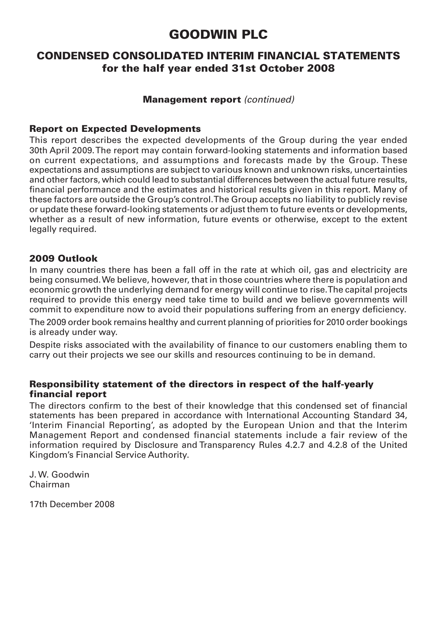### CONDENSED CONSOLIDATED INTERIM FINANCIAL STATEMENTS for the half year ended 31st October 2008

### Management report (continued)

### Report on Expected Developments

This report describes the expected developments of the Group during the year ended 30th April 2009. The report may contain forward-looking statements and information based on current expectations, and assumptions and forecasts made by the Group. These expectations and assumptions are subject to various known and unknown risks, uncertainties and other factors, which could lead to substantial differences between the actual future results, financial performance and the estimates and historical results given in this report. Many of these factors are outside the Group's control. The Group accepts no liability to publicly revise or update these forward-looking statements or adjust them to future events or developments, whether as a result of new information, future events or otherwise, except to the extent legally required.

### 2009 Outlook

In many countries there has been a fall off in the rate at which oil, gas and electricity are being consumed. We believe, however, that in those countries where there is population and economic growth the underlying demand for energy will continue to rise. The capital projects required to provide this energy need take time to build and we believe governments will commit to expenditure now to avoid their populations suffering from an energy deficiency.

The 2009 order book remains healthy and current planning of priorities for 2010 order bookings is already under way.

Despite risks associated with the availability of finance to our customers enabling them to carry out their projects we see our skills and resources continuing to be in demand.

### Responsibility statement of the directors in respect of the half-yearly financial report

The directors confirm to the best of their knowledge that this condensed set of financial statements has been prepared in accordance with International Accounting Standard 34, 'Interim Financial Reporting', as adopted by the European Union and that the Interim Management Report and condensed financial statements include a fair review of the information required by Disclosure and Transparency Rules 4.2.7 and 4.2.8 of the United Kingdom's Financial Service Authority.

J. W. Goodwin Chairman

17th December 2008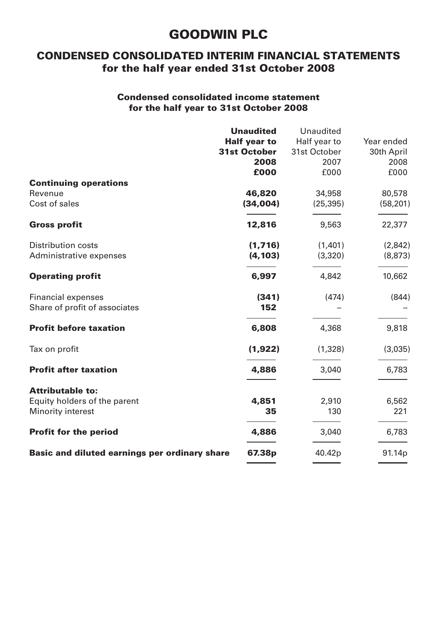### CONDENSED CONSOLIDATED INTERIM FINANCIAL STATEMENTS for the half year ended 31st October 2008

### Condensed consolidated income statement for the half year to 31st October 2008

|                                               | <b>Unaudited</b>    | Unaudited    |            |
|-----------------------------------------------|---------------------|--------------|------------|
|                                               | <b>Half year to</b> | Half year to | Year ended |
|                                               | <b>31st October</b> | 31st October | 30th April |
|                                               | 2008                | 2007         | 2008       |
|                                               | £000                | £000         | £000       |
| <b>Continuing operations</b>                  |                     |              |            |
| Revenue                                       | 46,820              | 34,958       | 80,578     |
| Cost of sales                                 | (34,004)            | (25, 395)    | (58, 201)  |
| <b>Gross profit</b>                           | 12,816              | 9,563        | 22,377     |
| <b>Distribution costs</b>                     | (1,716)             | (1,401)      | (2,842)    |
| Administrative expenses                       | (4, 103)            | (3,320)      | (8,873)    |
| <b>Operating profit</b>                       | 6,997               | 4,842        | 10,662     |
| <b>Financial expenses</b>                     | (341)               | (474)        | (844)      |
| Share of profit of associates                 | 152                 |              |            |
| <b>Profit before taxation</b>                 | 6,808               | 4,368        | 9,818      |
| Tax on profit                                 | (1,922)             | (1,328)      | (3,035)    |
| <b>Profit after taxation</b>                  | 4,886               | 3,040        | 6,783      |
| <b>Attributable to:</b>                       |                     |              |            |
| Equity holders of the parent                  | 4,851               | 2,910        | 6,562      |
| Minority interest                             | 35                  | 130          | 221        |
| <b>Profit for the period</b>                  | 4,886               | 3,040        | 6,783      |
| Basic and diluted earnings per ordinary share | 67.38p              | 40.42p       | 91.14p     |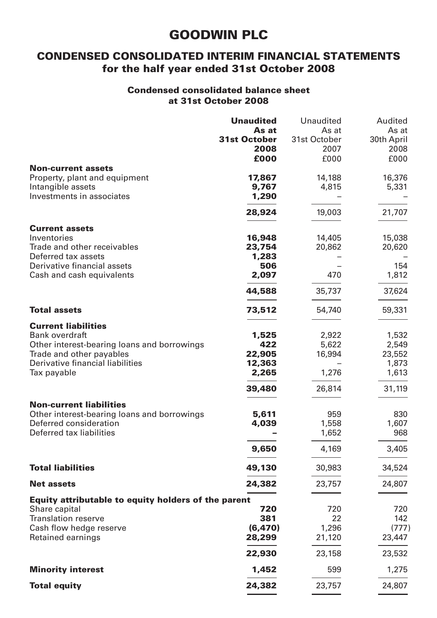### CONDENSED CONSOLIDATED INTERIM FINANCIAL STATEMENTS for the half year ended 31st October 2008

### Condensed consolidated balance sheet at 31st October 2008

|                                                          | <b>Unaudited</b>             | Unaudited             | Audited             |
|----------------------------------------------------------|------------------------------|-----------------------|---------------------|
|                                                          | As at<br><b>31st October</b> | As at<br>31st October | As at<br>30th April |
|                                                          | 2008                         | 2007                  | 2008                |
|                                                          | £000                         | £000                  | £000                |
| <b>Non-current assets</b>                                |                              |                       |                     |
| Property, plant and equipment                            | 17,867                       | 14,188                | 16,376              |
| Intangible assets<br>Investments in associates           | 9,767<br>1,290               | 4,815                 | 5,331               |
|                                                          |                              |                       |                     |
|                                                          | 28,924                       | 19,003                | 21,707              |
| <b>Current assets</b>                                    |                              |                       |                     |
| Inventories                                              | 16,948                       | 14,405                | 15,038              |
| Trade and other receivables                              | 23,754                       | 20,862                | 20,620              |
| Deferred tax assets                                      | 1,283                        |                       |                     |
| Derivative financial assets<br>Cash and cash equivalents | 506<br>2.097                 | 470                   | 154                 |
|                                                          |                              |                       | 1,812               |
|                                                          | 44,588                       | 35,737                | 37,624              |
| <b>Total assets</b>                                      | 73,512                       | 54,740                | 59,331              |
| <b>Current liabilities</b>                               |                              |                       |                     |
| Bank overdraft                                           | 1,525                        | 2,922                 | 1,532               |
| Other interest-bearing loans and borrowings              | 422                          | 5,622                 | 2,549               |
| Trade and other payables                                 | 22,905                       | 16,994                | 23,552              |
| Derivative financial liabilities                         | 12,363                       |                       | 1,873               |
| Tax payable                                              | 2,265                        | 1,276                 | 1,613               |
|                                                          | 39,480                       | 26,814                | 31,119              |
| <b>Non-current liabilities</b>                           |                              |                       |                     |
| Other interest-bearing loans and borrowings              | 5,611                        | 959                   | 830                 |
| Deferred consideration<br>Deferred tax liabilities       | 4,039                        | 1,558<br>1,652        | 1,607<br>968        |
|                                                          |                              |                       |                     |
|                                                          | 9,650                        | 4,169                 | 3,405               |
| <b>Total liabilities</b>                                 | 49,130                       | 30,983                | 34,524              |
| <b>Net assets</b>                                        | 24,382                       | 23,757                | 24,807              |
| Equity attributable to equity holders of the parent      |                              |                       |                     |
| Share capital                                            | 720                          | 720                   | 720                 |
| <b>Translation reserve</b>                               | 381                          | 22                    | 142                 |
| Cash flow hedge reserve                                  | (6, 470)                     | 1,296                 | (777)               |
| Retained earnings                                        | 28,299                       | 21,120                | 23,447              |
|                                                          | 22,930                       | 23,158                | 23,532              |
| <b>Minority interest</b>                                 | 1,452                        | 599                   | 1,275               |
| <b>Total equity</b>                                      | 24,382                       | 23,757                | 24,807              |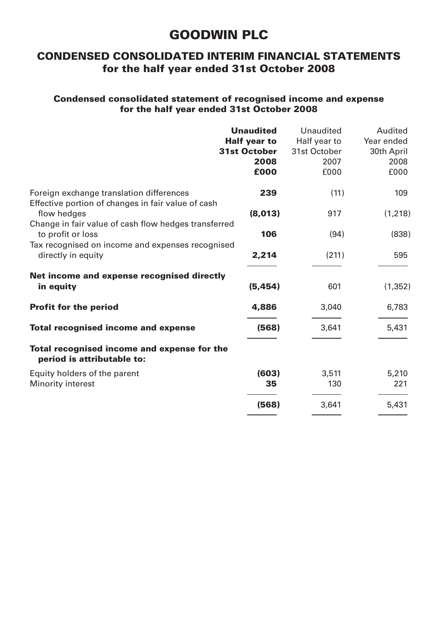### CONDENSED CONSOLIDATED INTERIM FINANCIAL STATEMENTS for the half year ended 31st October 2008

### Condensed consolidated statement of recognised income and expense for the half year ended 31st October 2008

|                                                                                                | <b>Unaudited</b><br><b>Half year to</b><br><b>31st October</b><br>2008<br>£000 | Unaudited<br>Half year to<br>31st October<br>2007<br>£000 | Audited<br>Year ended<br>30th April<br>2008<br>£000 |
|------------------------------------------------------------------------------------------------|--------------------------------------------------------------------------------|-----------------------------------------------------------|-----------------------------------------------------|
| Foreign exchange translation differences<br>Effective portion of changes in fair value of cash | 239                                                                            | (11)                                                      | 109                                                 |
| flow hedges                                                                                    | (8,013)                                                                        | 917                                                       | (1, 218)                                            |
| Change in fair value of cash flow hedges transferred<br>to profit or loss                      | 106                                                                            | (94)                                                      | (838)                                               |
| Tax recognised on income and expenses recognised<br>directly in equity                         | 2,214                                                                          | (211)                                                     | 595                                                 |
| Net income and expense recognised directly<br>in equity                                        | (5, 454)                                                                       | 601                                                       | (1, 352)                                            |
| <b>Profit for the period</b>                                                                   | 4,886                                                                          | 3,040                                                     | 6,783                                               |
| <b>Total recognised income and expense</b>                                                     | (568)                                                                          | 3,641                                                     | 5,431                                               |
| Total recognised income and expense for the<br>period is attributable to:                      |                                                                                |                                                           |                                                     |
| Equity holders of the parent                                                                   | (603)                                                                          | 3,511                                                     | 5,210                                               |
| Minority interest                                                                              | 35                                                                             | 130                                                       | 221                                                 |
|                                                                                                | (568)                                                                          | 3,641                                                     | 5,431                                               |
|                                                                                                |                                                                                |                                                           |                                                     |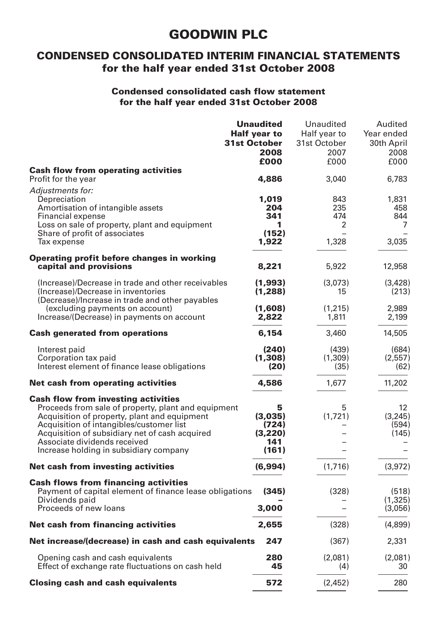### CONDENSED CONSOLIDATED INTERIM FINANCIAL STATEMENTS for the half year ended 31st October 2008

### Condensed consolidated cash flow statement for the half year ended 31st October 2008

|                                                                                                                                                                                                                                                                                                                           | <b>Unaudited</b><br><b>Half year to</b><br><b>31st October</b><br>2008<br>£000 | Unaudited<br>Half year to<br>31st October<br>2007<br>£000 | Audited<br>Year ended<br>30th April<br>2008<br>£000 |
|---------------------------------------------------------------------------------------------------------------------------------------------------------------------------------------------------------------------------------------------------------------------------------------------------------------------------|--------------------------------------------------------------------------------|-----------------------------------------------------------|-----------------------------------------------------|
| <b>Cash flow from operating activities</b><br>Profit for the year                                                                                                                                                                                                                                                         | 4,886                                                                          | 3,040                                                     | 6,783                                               |
| Adjustments for:<br>Depreciation<br>Amortisation of intangible assets<br>Financial expense<br>Loss on sale of property, plant and equipment<br>Share of profit of associates<br>Tax expense                                                                                                                               | 1,019<br>204<br>341<br>1<br>(152)<br>1,922                                     | 843<br>235<br>474<br>2<br>1,328                           | 1,831<br>458<br>844<br>$\overline{7}$<br>3,035      |
| Operating profit before changes in working<br>capital and provisions                                                                                                                                                                                                                                                      | 8,221                                                                          | 5,922                                                     | 12,958                                              |
| (Increase)/Decrease in trade and other receivables<br>(Increase)/Decrease in inventories                                                                                                                                                                                                                                  | (1,993)<br>(1,288)                                                             | (3,073)<br>15                                             | (3,428)<br>(213)                                    |
| (Decrease)/Increase in trade and other payables<br>(excluding payments on account)<br>Increase/(Decrease) in payments on account                                                                                                                                                                                          |                                                                                | (1,215)<br>1,811                                          | 2.989<br>2,199                                      |
| <b>Cash generated from operations</b>                                                                                                                                                                                                                                                                                     | 6,154                                                                          | 3,460                                                     | 14,505                                              |
| Interest paid<br>Corporation tax paid<br>Interest element of finance lease obligations                                                                                                                                                                                                                                    | (240)<br>(1, 308)<br>(20)                                                      | (439)<br>(1,309)<br>(35)                                  | (684)<br>(2,557)<br>(62)                            |
| Net cash from operating activities                                                                                                                                                                                                                                                                                        | 4,586                                                                          | 1,677                                                     | 11,202                                              |
| <b>Cash flow from investing activities</b><br>Proceeds from sale of property, plant and equipment<br>Acquisition of property, plant and equipment<br>Acquisition of intangibles/customer list<br>Acquisition of subsidiary net of cash acquired<br>Associate dividends received<br>Increase holding in subsidiary company | 5<br>(3,035)<br>(724)<br>(3,220)<br>141<br>(161)                               | 5<br>(1,721)                                              | 12<br>(3.245)<br>(594)<br>(145)                     |
| Net cash from investing activities                                                                                                                                                                                                                                                                                        | (6,994)                                                                        | (1,716)                                                   | (3,972)                                             |
| <b>Cash flows from financing activities</b><br>Payment of capital element of finance lease obligations<br>Dividends paid<br>Proceeds of new loans                                                                                                                                                                         | (345)<br>3,000                                                                 | (328)                                                     | (518)<br>(1,325)<br>(3,056)                         |
| Net cash from financing activities                                                                                                                                                                                                                                                                                        | 2,655                                                                          | (328)                                                     | (4,899)                                             |
| Net increase/(decrease) in cash and cash equivalents                                                                                                                                                                                                                                                                      | 247                                                                            | (367)                                                     | 2,331                                               |
| Opening cash and cash equivalents<br>Effect of exchange rate fluctuations on cash held                                                                                                                                                                                                                                    | 280<br>45                                                                      | (2.081)<br>(4)                                            | (2,081)<br>30                                       |
| <b>Closing cash and cash equivalents</b>                                                                                                                                                                                                                                                                                  | 572                                                                            | (2,452)                                                   | 280                                                 |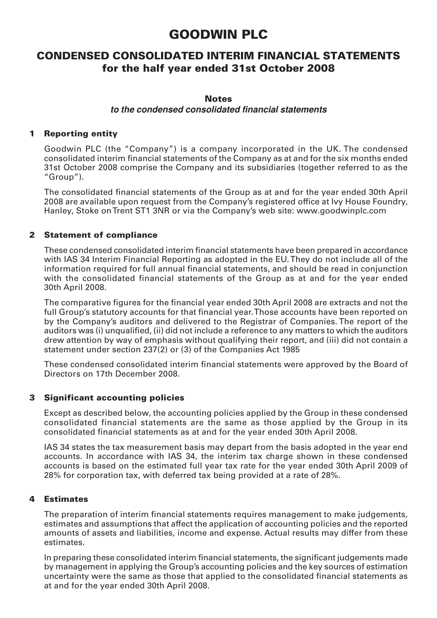### CONDENSED CONSOLIDATED INTERIM FINANCIAL STATEMENTS for the half year ended 31st October 2008

#### **Notes**

#### **to the condensed consolidated financial statements**

### 1 Reporting entity

Goodwin PLC (the "Company") is a company incorporated in the UK. The condensed consolidated interim financial statements of the Company as at and for the six months ended 31st October 2008 comprise the Company and its subsidiaries (together referred to as the "Group").

The consolidated financial statements of the Group as at and for the year ended 30th April 2008 are available upon request from the Company's registered office at Ivy House Foundry, Hanley, Stoke on Trent ST1 3NR or via the Company's web site: www.goodwinplc.com

#### 2 Statement of compliance

These condensed consolidated interim financial statements have been prepared in accordance with IAS 34 Interim Financial Reporting as adopted in the EU. They do not include all of the information required for full annual financial statements, and should be read in conjunction with the consolidated financial statements of the Group as at and for the year ended 30th April 2008.

The comparative figures for the financial year ended 30th April 2008 are extracts and not the full Group's statutory accounts for that financial year. Those accounts have been reported on by the Company's auditors and delivered to the Registrar of Companies. The report of the auditors was (i) unqualified, (ii) did not include a reference to any matters to which the auditors drew attention by way of emphasis without qualifying their report, and (iii) did not contain a statement under section 237(2) or (3) of the Companies Act 1985

These condensed consolidated interim financial statements were approved by the Board of Directors on 17th December 2008.

#### 3 Significant accounting policies

Except as described below, the accounting policies applied by the Group in these condensed consolidated financial statements are the same as those applied by the Group in its consolidated financial statements as at and for the year ended 30th April 2008.

IAS 34 states the tax measurement basis may depart from the basis adopted in the year end accounts. In accordance with IAS 34, the interim tax charge shown in these condensed accounts is based on the estimated full year tax rate for the year ended 30th April 2009 of 28% for corporation tax, with deferred tax being provided at a rate of 28%.

#### 4 Estimates

The preparation of interim financial statements requires management to make judgements, estimates and assumptions that affect the application of accounting policies and the reported amounts of assets and liabilities, income and expense. Actual results may differ from these estimates.

In preparing these consolidated interim financial statements, the significant judgements made by management in applying the Group's accounting policies and the key sources of estimation uncertainty were the same as those that applied to the consolidated financial statements as at and for the year ended 30th April 2008.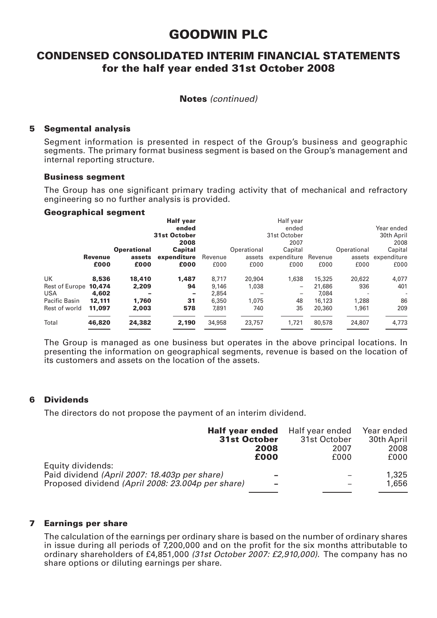### CONDENSED CONSOLIDATED INTERIM FINANCIAL STATEMENTS for the half year ended 31st October 2008

#### Notes (continued)

#### 5 Segmental analysis

Segment information is presented in respect of the Group's business and geographic segments. The primary format business segment is based on the Group's management and internal reporting structure.

#### Business segment

The Group has one significant primary trading activity that of mechanical and refractory engineering so no further analysis is provided.

#### Geographical segment

|                       |         |                    | <b>Half year</b>         |        |             | Half vear                  |        |                          |                    |  |
|-----------------------|---------|--------------------|--------------------------|--------|-------------|----------------------------|--------|--------------------------|--------------------|--|
|                       |         |                    | ended                    |        |             | ended                      |        |                          | Year ended         |  |
|                       |         |                    | 31st October             |        |             | 31st October               |        |                          | 30th April         |  |
|                       |         |                    | 2008                     |        | 2007        |                            |        |                          | 2008               |  |
|                       |         | <b>Operational</b> | Capital                  |        | Operational | Capital                    |        | Operational              | Capital            |  |
|                       | Revenue | assets             | expenditure Revenue      |        |             | assets expenditure Revenue |        |                          | assets expenditure |  |
|                       | £000    | £000               | £000                     | £000   | £000        | £000                       | £000   | £000                     | £000               |  |
| UK                    | 8,536   | 18,410             | 1.487                    | 8.717  | 20.904      | 1.638                      | 15,325 | 20.622                   | 4,077              |  |
| Rest of Europe 10.474 |         | 2,209              | 94                       | 9.146  | 1.038       | -                          | 21.686 | 936                      | 401                |  |
| USA                   | 4.602   |                    | $\overline{\phantom{0}}$ | 2.854  |             |                            | 7.084  | $\overline{\phantom{a}}$ |                    |  |
| Pacific Basin         | 12,111  | 1.760              | 31                       | 6.350  | 1.075       | 48                         | 16.123 | 1.288                    | 86                 |  |
| Rest of world         | 11.097  | 2.003              | 578                      | 7.891  | 740         | 35                         | 20.360 | 1.961                    | 209                |  |
| Total                 | 46,820  | 24.382             | 2.190                    | 34,958 | 23.757      | 1.721                      | 80.578 | 24.807                   | 4.773              |  |
|                       |         |                    |                          |        |             |                            |        |                          |                    |  |

The Group is managed as one business but operates in the above principal locations. In presenting the information on geographical segments, revenue is based on the location of its customers and assets on the location of the assets.

#### 6 Dividends

The directors do not propose the payment of an interim dividend.

|                                                   |      | <b>Half year ended</b> Half year ended | Year ended |
|---------------------------------------------------|------|----------------------------------------|------------|
| <b>31st October</b>                               |      | 31st October                           | 30th April |
|                                                   | 2008 | 2007                                   | 2008       |
|                                                   | £000 | £000                                   | £000       |
| Equity dividends:                                 |      |                                        |            |
| Paid dividend (April 2007: 18.403p per share)     | -    |                                        | 1,325      |
| Proposed dividend (April 2008: 23.004p per share) | -    |                                        | 1,656      |
|                                                   |      |                                        |            |

#### 7 Earnings per share

The calculation of the earnings per ordinary share is based on the number of ordinary shares in issue during all periods of 7,200,000 and on the profit for the six months attributable to ordinary shareholders of £4,851,000 (31st October 2007: £2,910,000). The company has no share options or diluting earnings per share.